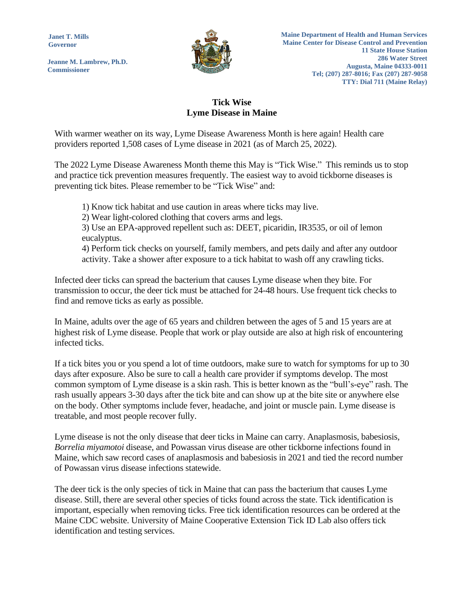**Janet T. Mills Governor**

**Jeanne M. Lambrew, Ph.D. Commissioner**



## **Tick Wise Lyme Disease in Maine**

With warmer weather on its way, Lyme Disease Awareness Month is here again! Health care providers reported 1,508 cases of Lyme disease in 2021 (as of March 25, 2022).

The 2022 Lyme Disease Awareness Month theme this May is "Tick Wise." This reminds us to stop and practice tick prevention measures frequently. The easiest way to avoid tickborne diseases is preventing tick bites. Please remember to be "Tick Wise" and:

1) Know tick habitat and use caution in areas where ticks may live.

2) Wear light-colored clothing that covers arms and legs.

3) Use an EPA-approved repellent such as: DEET, picaridin, IR3535, or oil of lemon eucalyptus.

4) Perform tick checks on yourself, family members, and pets daily and after any outdoor activity. Take a shower after exposure to a tick habitat to wash off any crawling ticks.

Infected deer ticks can spread the bacterium that causes Lyme disease when they bite. For transmission to occur, the deer tick must be attached for 24-48 hours. Use frequent tick checks to find and remove ticks as early as possible.

In Maine, adults over the age of 65 years and children between the ages of 5 and 15 years are at highest risk of Lyme disease. People that work or play outside are also at high risk of encountering infected ticks.

If a tick bites you or you spend a lot of time outdoors, make sure to watch for symptoms for up to 30 days after exposure. Also be sure to call a health care provider if symptoms develop. The most common symptom of Lyme disease is a skin rash. This is better known as the "bull's-eye" rash. The rash usually appears 3-30 days after the tick bite and can show up at the bite site or anywhere else on the body. Other symptoms include fever, headache, and joint or muscle pain. Lyme disease is treatable, and most people recover fully.

Lyme disease is not the only disease that deer ticks in Maine can carry. Anaplasmosis, babesiosis, *Borrelia miyamotoi* disease, and Powassan virus disease are other tickborne infections found in Maine, which saw record cases of anaplasmosis and babesiosis in 2021 and tied the record number of Powassan virus disease infections statewide.

The deer tick is the only species of tick in Maine that can pass the bacterium that causes Lyme disease. Still, there are several other species of ticks found across the state. Tick identification is important, especially when removing ticks. Free tick identification resources can be ordered at the Maine CDC website. University of Maine Cooperative Extension Tick ID Lab also offers tick identification and testing services.